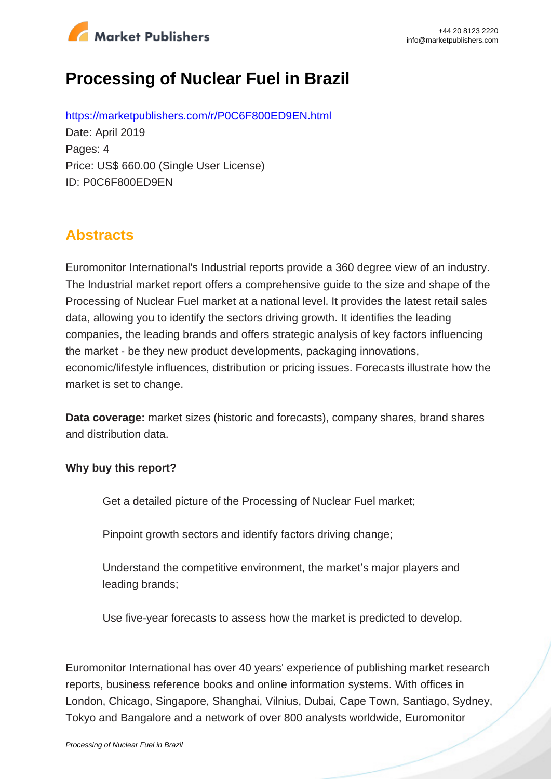

# **Processing of Nuclear Fuel in Brazil**

https://marketpublishers.com/r/P0C6F800ED9EN.html Date: April 2019 Pages: 4 Price: US\$ 660.00 (Single User License) ID: P0C6F800ED9EN

## **Abstracts**

Euromonitor International's Industrial reports provide a 360 degree view of an industry. The Industrial market report offers a comprehensive guide to the size and shape of the Processing of Nuclear Fuel market at a national level. It provides the latest retail sales data, allowing you to identify the sectors driving growth. It identifies the leading companies, the leading brands and offers strategic analysis of key factors influencing the market - be they new product developments, packaging innovations, economic/lifestyle influences, distribution or pricing issues. Forecasts illustrate how the market is set to change.

**Data coverage:** market sizes (historic and forecasts), company shares, brand shares and distribution data.

#### **Why buy this report?**

Get a detailed picture of the Processing of Nuclear Fuel market;

Pinpoint growth sectors and identify factors driving change;

Understand the competitive environment, the market's major players and leading brands;

Use five-year forecasts to assess how the market is predicted to develop.

Euromonitor International has over 40 years' experience of publishing market research reports, business reference books and online information systems. With offices in London, Chicago, Singapore, Shanghai, Vilnius, Dubai, Cape Town, Santiago, Sydney, Tokyo and Bangalore and a network of over 800 analysts worldwide, Euromonitor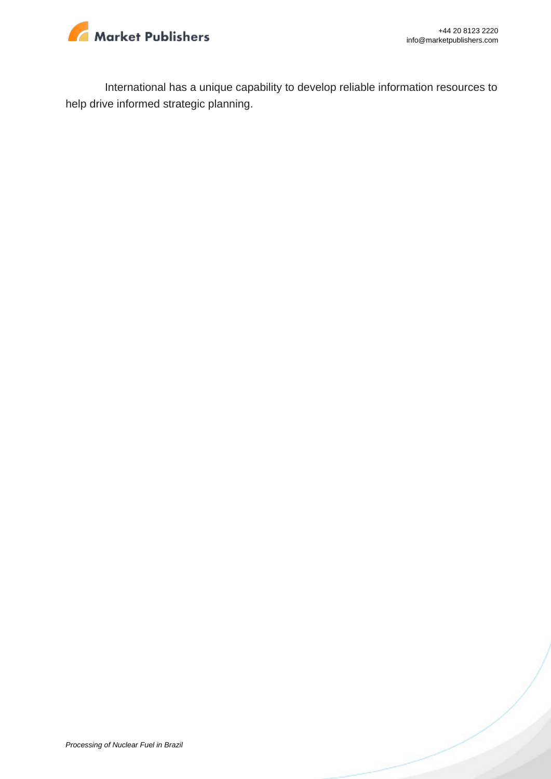

International has a unique capability to develop reliable information resources to help drive informed strategic planning.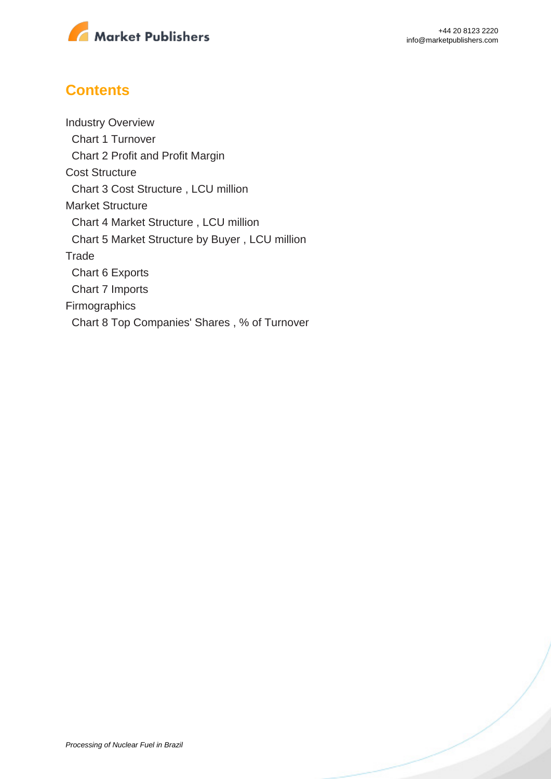

### **Contents**

Industry Overview Chart 1 Turnover Chart 2 Profit and Profit Margin Cost Structure Chart 3 Cost Structure , LCU million Market Structure Chart 4 Market Structure , LCU million Chart 5 Market Structure by Buyer , LCU million **Trade**  Chart 6 Exports Chart 7 Imports Firmographics Chart 8 Top Companies' Shares , % of Turnover